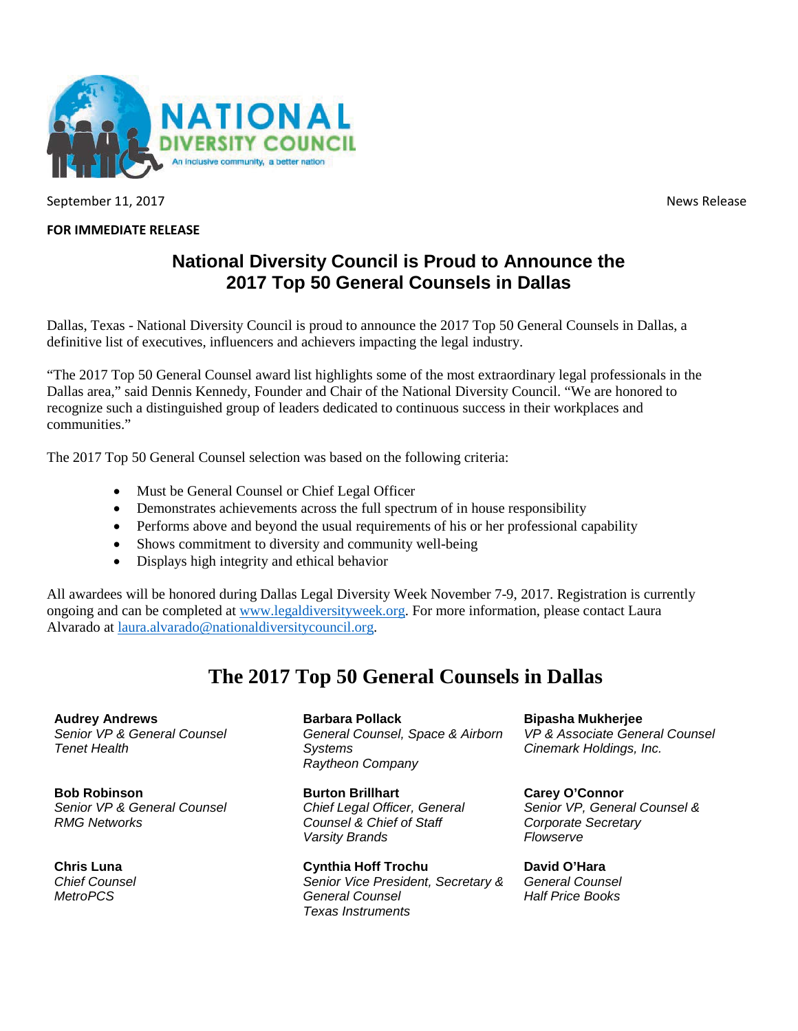

September 11, 2017 **News** Release

## **FOR IMMEDIATE RELEASE**

## **National Diversity Council is Proud to Announce the 2017 Top 50 General Counsels in Dallas**

Dallas, Texas - National Diversity Council is proud to announce the 2017 Top 50 General Counsels in Dallas, a definitive list of executives, influencers and achievers impacting the legal industry.

"The 2017 Top 50 General Counsel award list highlights some of the most extraordinary legal professionals in the Dallas area," said Dennis Kennedy, Founder and Chair of the National Diversity Council. "We are honored to recognize such a distinguished group of leaders dedicated to continuous success in their workplaces and communities."

The 2017 Top 50 General Counsel selection was based on the following criteria:

- Must be General Counsel or Chief Legal Officer
- Demonstrates achievements across the full spectrum of in house responsibility
- Performs above and beyond the usual requirements of his or her professional capability
- Shows commitment to diversity and community well-being
- Displays high integrity and ethical behavior

All awardees will be honored during Dallas Legal Diversity Week November 7-9, 2017. Registration is currently ongoing and can be completed at [www.legaldiversityweek.org.](http://www.legaldiversityweek.org/) For more information, please contact Laura Alvarado at [laura.alvarado@nationaldiversitycouncil.org.](mailto:laura.alvarado@nationaldiversitycouncil.org)

## **The 2017 Top 50 General Counsels in Dallas**

**Audrey Andrews** *Senior VP & General Counsel Tenet Health*

**Bob Robinson**  *Senior VP & General Counsel RMG Networks*

**Chris Luna**  *Chief Counsel MetroPCS*

**Barbara Pollack** *General Counsel, Space & Airborn Systems Raytheon Company*

**Burton Brillhart** *Chief Legal Officer, General Counsel & Chief of Staff Varsity Brands*

**Cynthia Hoff Trochu** *Senior Vice President, Secretary & General Counsel Texas Instruments*

**Bipasha Mukherjee** *VP & Associate General Counsel Cinemark Holdings, Inc.*

**Carey O'Connor** *Senior VP, General Counsel & Corporate Secretary Flowserve*

**David O'Hara** *General Counsel Half Price Books*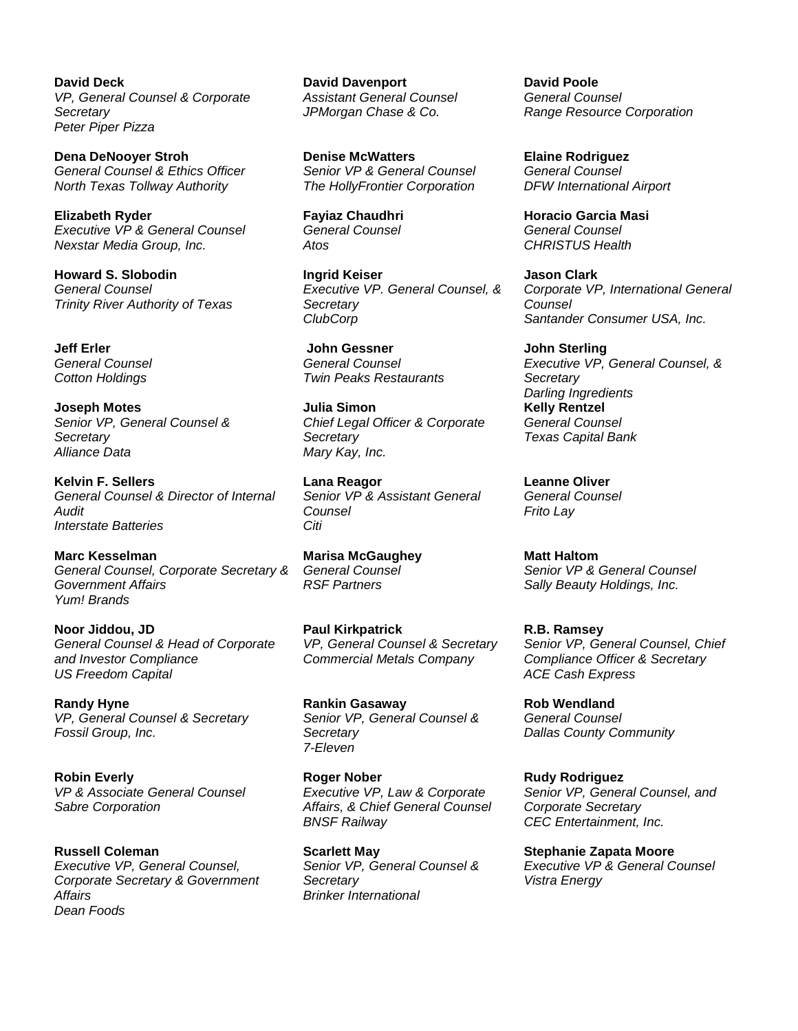**David Deck** *VP, General Counsel & Corporate Secretary Peter Piper Pizza*

**Dena DeNooyer Stroh** *General Counsel & Ethics Officer North Texas Tollway Authority*

**Elizabeth Ryder** *Executive VP & General Counsel Nexstar Media Group, Inc.*

**Howard S. Slobodin** *General Counsel Trinity River Authority of Texas*

**Jeff Erler** *General Counsel Cotton Holdings*

**Joseph Motes** *Senior VP, General Counsel & Secretary Alliance Data*

**Kelvin F. Sellers** *General Counsel & Director of Internal Audit Interstate Batteries*

**Marc Kesselman** *General Counsel, Corporate Secretary & Government Affairs Yum! Brands*

**Noor Jiddou, JD** *General Counsel & Head of Corporate and Investor Compliance US Freedom Capital* 

**Randy Hyne**  *VP, General Counsel & Secretary Fossil Group, Inc.*

**Robin Everly**  *VP & Associate General Counsel Sabre Corporation*

**Russell Coleman** *Executive VP, General Counsel, Corporate Secretary & Government Affairs Dean Foods*

**David Davenport** *Assistant General Counsel JPMorgan Chase & Co.*

**Denise McWatters** *Senior VP & General Counsel The HollyFrontier Corporation*

**Fayiaz Chaudhri** *General Counsel Atos*

**Ingrid Keiser** *Executive VP. General Counsel, & Secretary ClubCorp*

**John Gessner** *General Counsel Twin Peaks Restaurants*

**Julia Simon** *Chief Legal Officer & Corporate Secretary Mary Kay, Inc.*

**Lana Reagor** *Senior VP & Assistant General Counsel Citi*

**Marisa McGaughey** *General Counsel RSF Partners*

**Paul Kirkpatrick** *VP, General Counsel & Secretary Commercial Metals Company*

**Rankin Gasaway** *Senior VP, General Counsel & Secretary 7-Eleven*

**Roger Nober** *Executive VP, Law & Corporate Affairs, & Chief General Counsel BNSF Railway*

**Scarlett May** *Senior VP, General Counsel & Secretary Brinker International*

**David Poole** *General Counsel Range Resource Corporation*

**Elaine Rodriguez** *General Counsel DFW International Airport*

**Horacio Garcia Masi** *General Counsel CHRISTUS Health*

**Jason Clark** *Corporate VP, International General Counsel Santander Consumer USA, Inc.*

**John Sterling** *Executive VP, General Counsel, & Secretary Darling Ingredients* **Kelly Rentzel** *General Counsel Texas Capital Bank*

**Leanne Oliver** *General Counsel Frito Lay*

**Matt Haltom** *Senior VP & General Counsel Sally Beauty Holdings, Inc.*

**R.B. Ramsey** *Senior VP, General Counsel, Chief Compliance Officer & Secretary ACE Cash Express*

**Rob Wendland** *General Counsel Dallas County Community* 

**Rudy Rodriguez** *Senior VP, General Counsel, and Corporate Secretary CEC Entertainment, Inc.*

**Stephanie Zapata Moore** *Executive VP & General Counsel Vistra Energy*